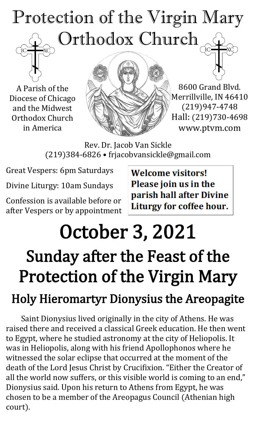## Protection of the Virgin Mary Orthodox Church

A Parish of the Diocese of Chicago and the Midwest Orthodox Church in America



8600 Grand Blvd. Merrillville, IN 46410 (219)947-4748 Hall: (219)730-4698 www.ptvm.com

Rev. Dr. Jacob Van Sickle (219)384-6826 • frjacobvansickle@gmail.com

Great Vespers: 6pm Saturdays

Divine Liturgy: 10am Sundays

Confession is available before or after Vespers or by appointment **Welcome visitors!** Please join us in the parish hall after Divine Liturgy for coffee hour.

## October 3, 2021

## Sunday after the Feast of the Protection of the Virgin Mary

### Holy Hieromartyr Dionysius the Areopagite

Saint Dionysius lived originally in the city of Athens. He was raised there and received a classical Greek education. He then went to Egypt, where he studied astronomy at the city of Heliopolis. It was in Heliopolis, along with his friend Apollophonos where he witnessed the solar eclipse that occurred at the moment of the death of the Lord Jesus Christ by Crucifixion. "Either the Creator of all the world now suffers, or this visible world is coming to an end," Dionysius said. Upon his return to Athens from Egypt, he was chosen to be a member of the Areopagus Council (Athenian high court).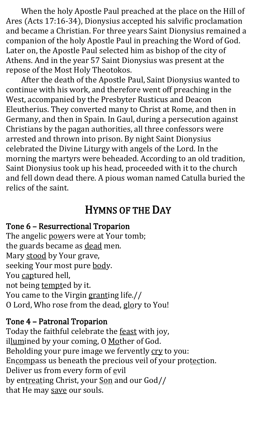When the holy Apostle Paul preached at the place on the Hill of Ares (Acts 17:16-34), Dionysius accepted his salvific proclamation and became a Christian. For three years Saint Dionysius remained a companion of the holy Apostle Paul in preaching the Word of God. Later on, the Apostle Paul selected him as bishop of the city of Athens. And in the year 57 Saint Dionysius was present at the repose of the Most Holy Theotokos.

After the death of the Apostle Paul, Saint Dionysius wanted to continue with his work, and therefore went off preaching in the West, accompanied by the Presbyter Rusticus and Deacon Eleutherius. They converted many to Christ at Rome, and then in Germany, and then in Spain. In Gaul, during a persecution against Christians by the pagan authorities, all three confessors were arrested and thrown into prison. By night Saint Dionysius celebrated the Divine Liturgy with angels of the Lord. In the morning the martyrs were beheaded. According to an old tradition, Saint Dionysius took up his head, proceeded with it to the church and fell down dead there. A pious woman named Catulla buried the relics of the saint.

#### HYMNS OF THE DAY

#### Tone 6 – Resurrectional Troparion

The angelic powers were at Your tomb; the guards became as dead men. Mary stood by Your grave, seeking Your most pure body. You captured hell, not being tempted by it. You came to the Virgin granting life.// O Lord, Who rose from the dead, glory to You!

#### Tone 4 – Patronal Troparion

Today the faithful celebrate the **feast** with joy, illumined by your coming, O Mother of God. Beholding your pure image we fervently cry to you: Encompass us beneath the precious veil of your protection. Deliver us from every form of evil by entreating Christ, your Son and our God// that He may save our souls.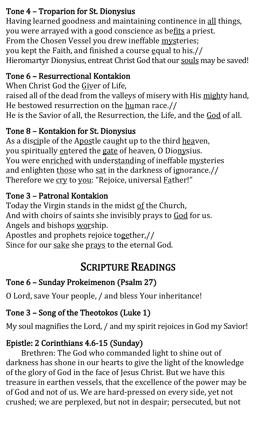#### Tone 4 – Troparion for St. Dionysius

Having learned goodness and maintaining continence in all things, you were arrayed with a good conscience as befits a priest. From the Chosen Vessel you drew ineffable mysteries; you kept the Faith, and finished a course equal to his.// Hieromartyr Dionysius, entreat Christ God that our souls may be saved!

#### Tone 6 – Resurrectional Kontakion

When Christ God the Giver of Life, raised all of the dead from the valleys of misery with His mighty hand, He bestowed resurrection on the human race.// He is the Savior of all, the Resurrection, the Life, and the God of all.

#### Tone 8 – Kontakion for St. Dionysius

As a disciple of the Apostle caught up to the third heaven, you spiritually entered the gate of heaven, O Dionysius. You were enriched with understanding of ineffable mysteries and enlighten those who sat in the darkness of ignorance.// Therefore we cry to you: "Rejoice, universal Father!"

#### Tone 3 – Patronal Kontakion

Today the Virgin stands in the midst of the Church, And with choirs of saints she invisibly prays to God for us. Angels and bishops worship. Apostles and prophets rejoice together,//

Since for our sake she prays to the eternal God.

#### SCRIPTURE READINGS

#### Tone 6 – Sunday Prokeimenon (Psalm 27)

O Lord, save Your people, / and bless Your inheritance!

#### Tone 3 – Song of the Theotokos (Luke 1)

My soul magnifies the Lord, / and my spirit rejoices in God my Savior!

#### Epistle: 2 Corinthians 4.6-15 (Sunday)

Brethren: The God who commanded light to shine out of darkness has shone in our hearts to give the light of the knowledge of the glory of God in the face of Jesus Christ. But we have this treasure in earthen vessels, that the excellence of the power may be of God and not of us. We are hard-pressed on every side, yet not crushed; we are perplexed, but not in despair; persecuted, but not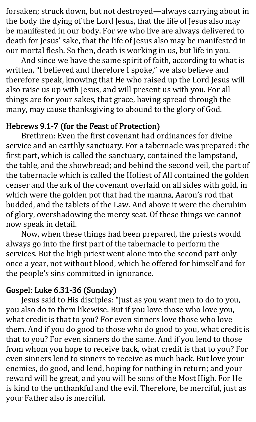forsaken; struck down, but not destroyed—always carrying about in the body the dying of the Lord Jesus, that the life of Jesus also may be manifested in our body. For we who live are always delivered to death for Jesus' sake, that the life of Jesus also may be manifested in our mortal flesh. So then, death is working in us, but life in you.

And since we have the same spirit of faith, according to what is written, "I believed and therefore I spoke," we also believe and therefore speak, knowing that He who raised up the Lord Jesus will also raise us up with Jesus, and will present us with you. For all things are for your sakes, that grace, having spread through the many, may cause thanksgiving to abound to the glory of God.

#### Hebrews 9.1-7 (for the Feast of Protection)

Brethren: Even the first covenant had ordinances for divine service and an earthly sanctuary. For a tabernacle was prepared: the first part, which is called the sanctuary, contained the lampstand, the table, and the showbread; and behind the second veil, the part of the tabernacle which is called the Holiest of All contained the golden censer and the ark of the covenant overlaid on all sides with gold, in which were the golden pot that had the manna, Aaron's rod that budded, and the tablets of the Law. And above it were the cherubim of glory, overshadowing the mercy seat. Of these things we cannot now speak in detail.

Now, when these things had been prepared, the priests would always go into the first part of the tabernacle to perform the services. But the high priest went alone into the second part only once a year, not without blood, which he offered for himself and for the people's sins committed in ignorance.

#### Gospel: Luke 6.31-36 (Sunday)

Jesus said to His disciples: "Just as you want men to do to you, you also do to them likewise. But if you love those who love you, what credit is that to you? For even sinners love those who love them. And if you do good to those who do good to you, what credit is that to you? For even sinners do the same. And if you lend to those from whom you hope to receive back, what credit is that to you? For even sinners lend to sinners to receive as much back. But love your enemies, do good, and lend, hoping for nothing in return; and your reward will be great, and you will be sons of the Most High. For He is kind to the unthankful and the evil. Therefore, be merciful, just as your Father also is merciful.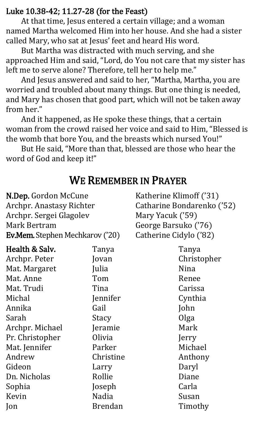#### Luke 10.38-42; 11.27-28 (for the Feast)

At that time, Jesus entered a certain village; and a woman named Martha welcomed Him into her house. And she had a sister called Mary, who sat at Jesus' feet and heard His word.

But Martha was distracted with much serving, and she approached Him and said, "Lord, do You not care that my sister has left me to serve alone? Therefore, tell her to help me."

And Jesus answered and said to her, "Martha, Martha, you are worried and troubled about many things. But one thing is needed, and Mary has chosen that good part, which will not be taken away from her."

And it happened, as He spoke these things, that a certain woman from the crowd raised her voice and said to Him, "Blessed is the womb that bore You, and the breasts which nursed You!"

But He said, "More than that, blessed are those who hear the word of God and keep it!"

#### WE REMEMBER IN PRAYER

| N.Dep. Gordon McCune                   |                | Katherine Klimoff ('31)    |  |
|----------------------------------------|----------------|----------------------------|--|
| <b>Archpr. Anastasy Richter</b>        |                | Catharine Bondarenko ('52) |  |
| Archpr. Sergei Glagolev                |                | Mary Yacuk ('59)           |  |
| Mark Bertram                           |                | George Barsuko ('76)       |  |
| <b>Ev.Mem.</b> Stephen Mechkarov ('20) |                | Catherine Cidylo ('82)     |  |
| Health & Salv.                         | Tanya          | Tanya                      |  |
| Archpr. Peter                          | Jovan          | Christopher                |  |
| Mat. Margaret                          | Julia          | Nina                       |  |
| Mat. Anne                              | Tom            | Renee                      |  |
| Mat. Trudi                             | Tina           | Carissa                    |  |
| Michal                                 | Jennifer       | Cynthia                    |  |
| Annika                                 | Gail           | John                       |  |
| Sarah                                  | Stacy          | Olga                       |  |
| Archpr. Michael                        | Jeramie        | Mark                       |  |
| Pr. Christopher                        | Olivia         | Jerry                      |  |
| Mat. Jennifer                          | Parker         | Michael                    |  |
| Andrew                                 | Christine      | Anthony                    |  |
| Gideon                                 | Larry          | Daryl                      |  |
| Dn. Nicholas                           | Rollie         | Diane                      |  |
| Sophia                                 | Joseph         | Carla                      |  |
| Kevin                                  | Nadia          | Susan                      |  |
| Jon                                    | <b>Brendan</b> | Timothy                    |  |
|                                        |                |                            |  |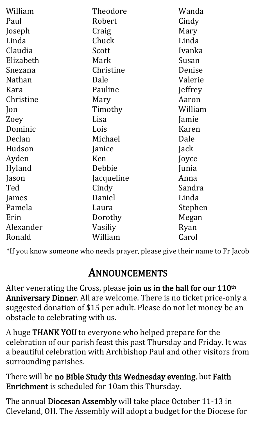| William       | Theodore   | Wanda   |
|---------------|------------|---------|
| Paul          | Robert     | Cindy   |
| Joseph        | Craig      | Mary    |
| Linda         | Chuck      | Linda   |
| Claudia       | Scott      | Ivanka  |
| Elizabeth     | Mark       | Susan   |
| Snezana       | Christine  | Denise  |
| <b>Nathan</b> | Dale       | Valerie |
| Kara          | Pauline    | Jeffrey |
| Christine     | Mary       | Aaron   |
| Jon           | Timothy    | William |
| Zoey          | Lisa       | Jamie   |
| Dominic       | Lois       | Karen   |
| Declan        | Michael    | Dale    |
| Hudson        | Janice     | Jack    |
| Ayden         | Ken        | Joyce   |
| Hyland        | Debbie     | Junia   |
| Jason         | Jacqueline | Anna    |
| Ted           | Cindy      | Sandra  |
| James         | Daniel     | Linda   |
| Pamela        | Laura      | Stephen |
| Erin          | Dorothy    | Megan   |
| Alexander     | Vasiliy    | Ryan    |
| Ronald        | William    | Carol   |

\*If you know someone who needs prayer, please give their name to Fr Jacob

#### ANNOUNCEMENTS

After venerating the Cross, please join us in the hall for our 110<sup>th</sup> Anniversary Dinner. All are welcome. There is no ticket price-only a suggested donation of \$15 per adult. Please do not let money be an obstacle to celebrating with us.

A huge THANK YOU to everyone who helped prepare for the celebration of our parish feast this past Thursday and Friday. It was a beautiful celebration with Archbishop Paul and other visitors from surrounding parishes.

There will be no Bible Study this Wednesday evening, but Faith Enrichment is scheduled for 10am this Thursday.

The annual Diocesan Assembly will take place October 11-13 in Cleveland, OH. The Assembly will adopt a budget for the Diocese for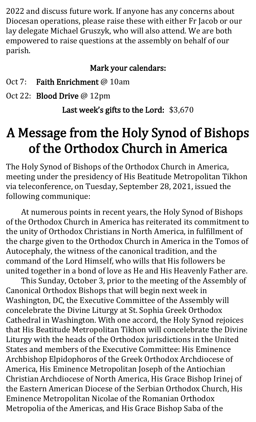2022 and discuss future work. If anyone has any concerns about Diocesan operations, please raise these with either Fr Jacob or our lay delegate Michael Gruszyk, who will also attend. We are both empowered to raise questions at the assembly on behalf of our parish.

#### Mark your calendars:

- Oct 7: Faith Enrichment @ 10am
- Oct 22: **Blood Drive** @ 12pm

Last week's gifts to the Lord: \$3,670

#### A Message from the Holy Synod of Bishops of the Orthodox Church in America

The Holy Synod of Bishops of the Orthodox Church in America, meeting under the presidency of His Beatitude Metropolitan Tikhon via teleconference, on Tuesday, September 28, 2021, issued the following communique:

At numerous points in recent years, the Holy Synod of Bishops of the Orthodox Church in America has reiterated its commitment to the unity of Orthodox Christians in North America, in fulfillment of the charge given to the Orthodox Church in America in the Tomos of Autocephaly, the witness of the canonical tradition, and the command of the Lord Himself, who wills that His followers be united together in a bond of love as He and His Heavenly Father are.

This Sunday, October 3, prior to the meeting of the Assembly of Canonical Orthodox Bishops that will begin next week in Washington, DC, the Executive Committee of the Assembly will concelebrate the Divine Liturgy at St. Sophia Greek Orthodox Cathedral in Washington. With one accord, the Holy Synod rejoices that His Beatitude Metropolitan Tikhon will concelebrate the Divine Liturgy with the heads of the Orthodox jurisdictions in the United States and members of the Executive Committee: His Eminence Archbishop Elpidophoros of the Greek Orthodox Archdiocese of America, His Eminence Metropolitan Joseph of the Antiochian Christian Archdiocese of North America, His Grace Bishop Irinej of the Eastern American Diocese of the Serbian Orthodox Church, His Eminence Metropolitan Nicolae of the Romanian Orthodox Metropolia of the Americas, and His Grace Bishop Saba of the